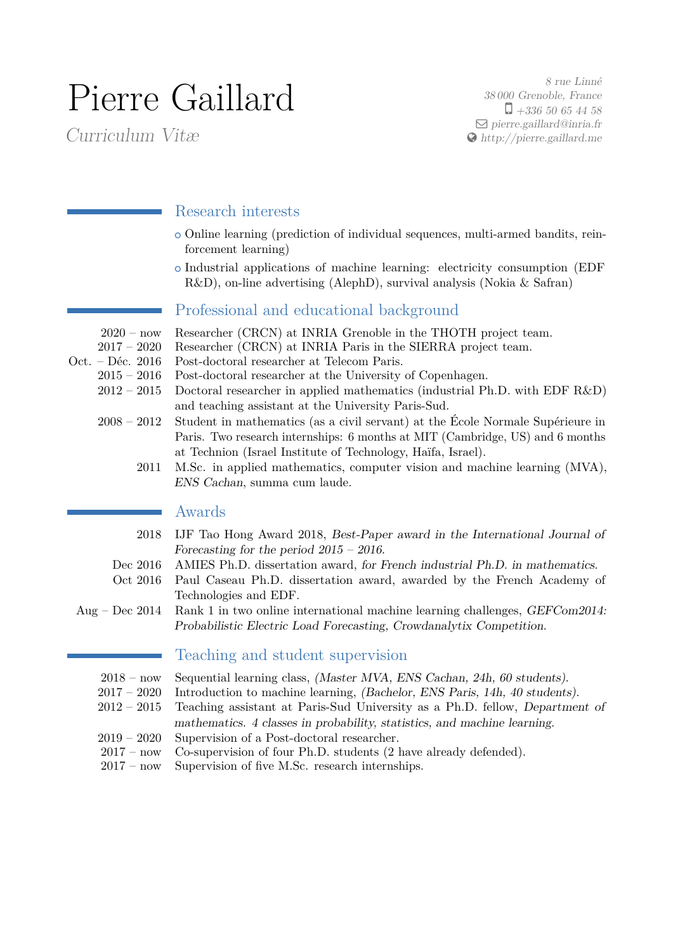# Pierre Gaillard

Curriculum Vitæ

8 rue Linné 38 000 Grenoble, France  $\Box$  +336 50 65 44 58  $\Box$  [pierre.gaillard@inria.fr](mailto:pierre.gaillard@inria.fr) [http://pierre.gaillard.me](http://http://pierre.gaillard.me)

# Research interests

- <sup>+</sup> Online learning (prediction of individual sequences, multi-armed bandits, reinforcement learning)
- <sup>+</sup> Industrial applications of machine learning: electricity consumption (EDF R&D), on-line advertising (AlephD), survival analysis (Nokia & Safran)

# Professional and educational background

- 2020 now Researcher (CRCN) at INRIA Grenoble in the THOTH project team.
- 2017 2020 Researcher (CRCN) at INRIA Paris in the SIERRA project team.<br>Oct. Déc. 2016 Post-doctoral researcher at Telecom Paris.
	- Post-doctoral researcher at Telecom Paris.
		- 2015 2016 Post-doctoral researcher at the University of Copenhagen.
		- 2012 2015 Doctoral researcher in applied mathematics (industrial Ph.D. with EDF R&D) and teaching assistant at the University Paris-Sud.
		- 2008 2012 Student in mathematics (as a civil servant) at the École Normale Supérieure in Paris. Two research internships: 6 months at MIT (Cambridge, US) and 6 months at Technion (Israel Institute of Technology, Haïfa, Israel).
			- 2011 M.Sc. in applied mathematics, computer vision and machine learning (MVA), ENS Cachan, summa cum laude.

## Awards

- 2018 IJF Tao Hong Award 2018, Best-Paper award in the International Journal of Forecasting for the period 2015 – 2016.
- Dec 2016 AMIES Ph.D. dissertation award, for French industrial Ph.D. in mathematics.
- Oct 2016 Paul Caseau Ph.D. dissertation award, awarded by the French Academy of Technologies and EDF.
- Aug Dec 2014 Rank 1 in two online international machine learning challenges, GEFCom2014: Probabilistic Electric Load Forecasting, Crowdanalytix Competition.

## Teaching and student supervision

- 2018 now Sequential learning class, (Master MVA, ENS Cachan, 24h, 60 students).
- 2017 2020 Introduction to machine learning, (Bachelor, ENS Paris, 14h, 40 students).
- 2012 2015 Teaching assistant at Paris-Sud University as a Ph.D. fellow, Department of mathematics. 4 classes in probability, statistics, and machine learning.
- 2019 2020 Supervision of a Post-doctoral researcher.
- 2017 now Co-supervision of four Ph.D. students (2 have already defended).
- 2017 now Supervision of five M.Sc. research internships.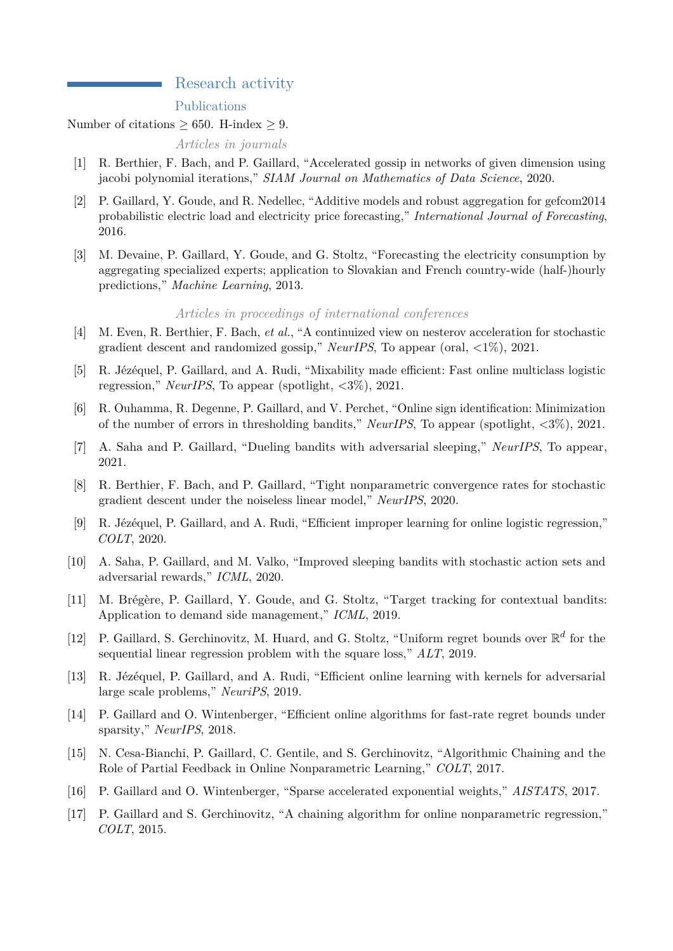## Research activity

#### Publications

#### Number of citations  $\geq$  650. H-index  $\geq$  9.

#### *Articles in journals*

- [1] R. Berthier, F. Bach, and P. Gaillard, "Accelerated gossip in networks of given dimension using jacobi polynomial iterations," *SIAM Journal on Mathematics of Data Science*, 2020.
- [2] P. Gaillard, Y. Goude, and R. Nedellec, "Additive models and robust aggregation for gefcom2014 probabilistic electric load and electricity price forecasting," *International Journal of Forecasting*, 2016.
- [3] M. Devaine, P. Gaillard, Y. Goude, and G. Stoltz, "Forecasting the electricity consumption by aggregating specialized experts; application to Slovakian and French country-wide (half-)hourly predictions," *Machine Learning*, 2013.

#### *Articles in proceedings of international conferences*

- [4] M. Even, R. Berthier, F. Bach, *et al.*, "A continuized view on nesterov acceleration for stochastic gradient descent and randomized gossip," *NeurIPS*, To appear (oral, <1%), 2021.
- [5] R. Jézéquel, P. Gaillard, and A. Rudi, "Mixability made efficient: Fast online multiclass logistic regression," *NeurIPS*, To appear (spotlight, <3%), 2021.
- [6] R. Ouhamma, R. Degenne, P. Gaillard, and V. Perchet, "Online sign identification: Minimization of the number of errors in thresholding bandits," *NeurIPS*, To appear (spotlight, <3%), 2021.
- [7] A. Saha and P. Gaillard, "Dueling bandits with adversarial sleeping," *NeurIPS*, To appear, 2021.
- [8] R. Berthier, F. Bach, and P. Gaillard, "Tight nonparametric convergence rates for stochastic gradient descent under the noiseless linear model," *NeurIPS*, 2020.
- [9] R. Jézéquel, P. Gaillard, and A. Rudi, "Efficient improper learning for online logistic regression," *COLT*, 2020.
- [10] A. Saha, P. Gaillard, and M. Valko, "Improved sleeping bandits with stochastic action sets and adversarial rewards," *ICML*, 2020.
- [11] M. Brégère, P. Gaillard, Y. Goude, and G. Stoltz, "Target tracking for contextual bandits: Application to demand side management," *ICML*, 2019.
- [12] P. Gaillard, S. Gerchinovitz, M. Huard, and G. Stoltz, "Uniform regret bounds over  $\mathbb{R}^d$  for the sequential linear regression problem with the square loss," *ALT*, 2019.
- [13] R. Jézéquel, P. Gaillard, and A. Rudi, "Efficient online learning with kernels for adversarial large scale problems," *NeuriPS*, 2019.
- [14] P. Gaillard and O. Wintenberger, "Efficient online algorithms for fast-rate regret bounds under sparsity," *NeurIPS*, 2018.
- [15] N. Cesa-Bianchi, P. Gaillard, C. Gentile, and S. Gerchinovitz, "Algorithmic Chaining and the Role of Partial Feedback in Online Nonparametric Learning," *COLT*, 2017.
- [16] P. Gaillard and O. Wintenberger, "Sparse accelerated exponential weights," *AISTATS*, 2017.
- [17] P. Gaillard and S. Gerchinovitz, "A chaining algorithm for online nonparametric regression," *COLT*, 2015.